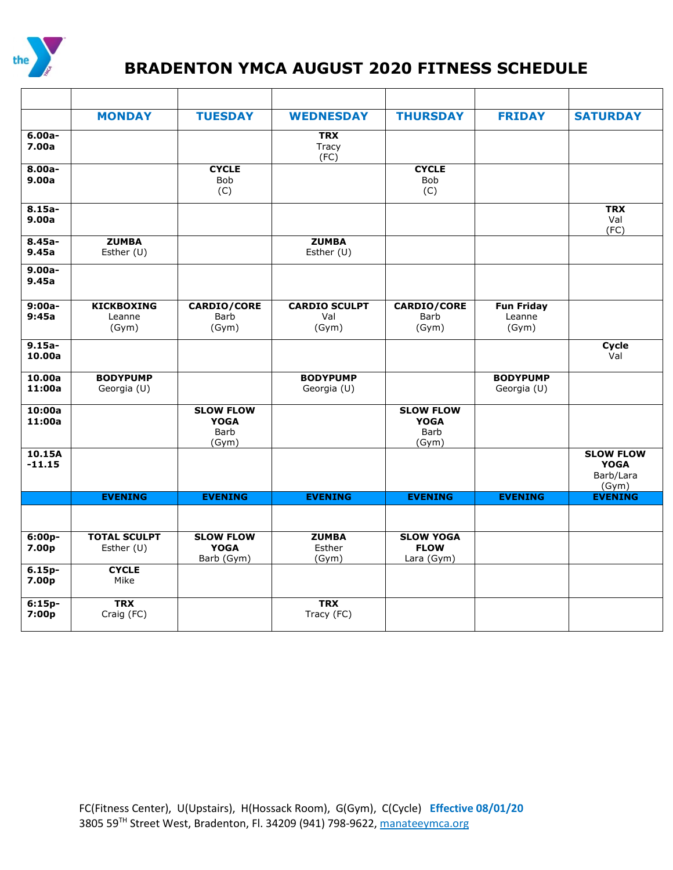

## **BRADENTON YMCA AUGUST <sup>2020</sup> FITNESS SCHEDULE**

|                     | <b>MONDAY</b>                        | <b>TUESDAY</b>                                   | <b>WEDNESDAY</b>                     | <b>THURSDAY</b>                                  | <b>FRIDAY</b>                        | <b>SATURDAY</b>                                       |
|---------------------|--------------------------------------|--------------------------------------------------|--------------------------------------|--------------------------------------------------|--------------------------------------|-------------------------------------------------------|
| $6.00a -$<br>7.00a  |                                      |                                                  | <b>TRX</b><br>Tracy<br>(FC)          |                                                  |                                      |                                                       |
| $8.00a -$<br>9.00a  |                                      | <b>CYCLE</b><br><b>Bob</b><br>(C)                |                                      | <b>CYCLE</b><br>Bob<br>(C)                       |                                      |                                                       |
| $8.15a -$<br>9.00a  |                                      |                                                  |                                      |                                                  |                                      | <b>TRX</b><br>Val<br>(FC)                             |
| $8.45a -$<br>9.45a  | <b>ZUMBA</b><br>Esther (U)           |                                                  | <b>ZUMBA</b><br>Esther (U)           |                                                  |                                      |                                                       |
| $9.00a -$<br>9.45a  |                                      |                                                  |                                      |                                                  |                                      |                                                       |
| $9:00a-$<br>9:45a   | <b>KICKBOXING</b><br>Leanne<br>(Gym) | CARDIO/CORE<br>Barb<br>(Gym)                     | <b>CARDIO SCULPT</b><br>Val<br>(Gym) | <b>CARDIO/CORE</b><br>Barb<br>(Gym)              | <b>Fun Friday</b><br>Leanne<br>(Gym) |                                                       |
| $9.15a -$<br>10.00a |                                      |                                                  |                                      |                                                  |                                      | Cycle<br>Val                                          |
| 10.00a<br>11:00a    | <b>BODYPUMP</b><br>Georgia (U)       |                                                  | <b>BODYPUMP</b><br>Georgia (U)       |                                                  | <b>BODYPUMP</b><br>Georgia (U)       |                                                       |
| 10:00a<br>11:00a    |                                      | <b>SLOW FLOW</b><br><b>YOGA</b><br>Barb<br>(Gym) |                                      | <b>SLOW FLOW</b><br><b>YOGA</b><br>Barb<br>(Gym) |                                      |                                                       |
| 10.15A<br>$-11.15$  |                                      |                                                  |                                      |                                                  |                                      | <b>SLOW FLOW</b><br><b>YOGA</b><br>Barb/Lara<br>(Gym) |
|                     | <b>EVENING</b>                       | <b>EVENING</b>                                   | <b>EVENING</b>                       | <b>EVENING</b>                                   | <b>EVENING</b>                       | <b>EVENING</b>                                        |
|                     |                                      |                                                  |                                      |                                                  |                                      |                                                       |
| $6:00p-$<br>7.00p   | <b>TOTAL SCULPT</b><br>Esther (U)    | <b>SLOW FLOW</b><br><b>YOGA</b><br>Barb (Gym)    | <b>ZUMBA</b><br>Esther<br>(Gym)      | <b>SLOW YOGA</b><br><b>FLOW</b><br>Lara (Gym)    |                                      |                                                       |
| $6.15p-$<br>7.00p   | <b>CYCLE</b><br>Mike                 |                                                  |                                      |                                                  |                                      |                                                       |
| $6:15p-$<br>7:00p   | <b>TRX</b><br>Craig (FC)             |                                                  | <b>TRX</b><br>Tracy (FC)             |                                                  |                                      |                                                       |